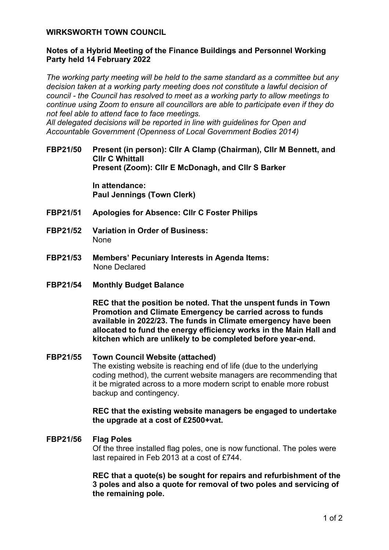## **WIRKSWORTH TOWN COUNCIL**

# **Notes of a Hybrid Meeting of the Finance Buildings and Personnel Working Party held 14 February 2022**

*The working party meeting will be held to the same standard as a committee but any decision taken at a working party meeting does not constitute a lawful decision of council - the Council has resolved to meet as a working party to allow meetings to continue using Zoom to ensure all councillors are able to participate even if they do not feel able to attend face to face meetings.* 

*All delegated decisions will be reported in line with guidelines for Open and Accountable Government (Openness of Local Government Bodies 2014)* 

**FBP21/50 Present (in person): Cllr A Clamp (Chairman), Cllr M Bennett, and Cllr C Whittall Present (Zoom): Cllr E McDonagh, and Cllr S Barker**

> **In attendance: Paul Jennings (Town Clerk)**

- **FBP21/51 Apologies for Absence: Cllr C Foster Philips**
- **FBP21/52 Variation in Order of Business:**  None
- **FBP21/53 Members' Pecuniary Interests in Agenda Items:**  None Declared
- **FBP21/54 Monthly Budget Balance**

**REC that the position be noted. That the unspent funds in Town Promotion and Climate Emergency be carried across to funds available in 2022/23. The funds in Climate emergency have been allocated to fund the energy efficiency works in the Main Hall and kitchen which are unlikely to be completed before year-end.**

**FBP21/55 Town Council Website (attached)** The existing website is reaching end of life (due to the underlying coding method), the current website managers are recommending that it be migrated across to a more modern script to enable more robust backup and contingency.

> **REC that the existing website managers be engaged to undertake the upgrade at a cost of £2500+vat.**

#### **FBP21/56 Flag Poles**

Of the three installed flag poles, one is now functional. The poles were last repaired in Feb 2013 at a cost of £744.

**REC that a quote(s) be sought for repairs and refurbishment of the 3 poles and also a quote for removal of two poles and servicing of the remaining pole.**